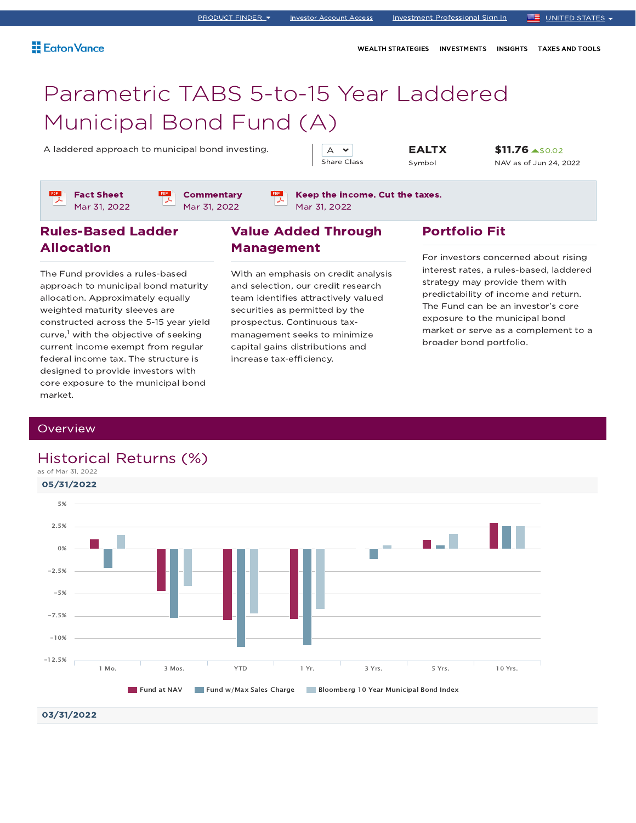WEALTH STRATEGIES INVESTMENTS INSIGHTS TAXES AND TOOLS

## Parametric TABS 5-to-15 Year Laddered Municipal Bond Fund (A)

A laddered approach to municipal bond investing.  $\begin{array}{|c|c|c|c|c|}\n\hline\nA & \rightarrow & \textbf{EALTX}\n\end{array}$ 

A  $\sim$ Share Class

Symbol

\$11.76 \$0.02 NAV as of Jun 24, 2022

Fact Sheet Mar 31, 2022 **Commentary** Mar 31, 2022

Keep the income. Cut the taxes. Mar 31, 2022

### Rules-Based Ladder Allocation

The Fund provides a rules-based approach to municipal bond maturity allocation. Approximately equally weighted maturity sleeves are constructed across the 5-15 year yield curve,<sup>1</sup> with the objective of seeking current income exempt from regular federal income tax. The structure is designed to provide investors with core exposure to the municipal bond market.

### Value Added Through Management

With an emphasis on credit analysis and selection, our credit research team identifies attractively valued securities as permitted by the prospectus. Continuous taxmanagement seeks to minimize capital gains distributions and increase tax-efficiency.

### Portfolio Fit

For investors concerned about rising interest rates, a rules-based, laddered strategy may provide them with predictability of income and return. The Fund can be an investor's core exposure to the municipal bond market or serve as a complement to a broader bond portfolio.

### **Overview**

## 05/31/2022 03/31/2022 Historical Returns (%) as of Mar 31, 2022 Fund at NAV Fund w/Max Sales Charge Bloomberg 10 Year Municipal Bond Index 1 Mo. 3 Mos. YTD 1 Yr. 3 Yrs. 5 Yrs. 10 Yrs. -12.5% -10% -7.5% -5%  $-2.5%$ 0% 2.5% 5%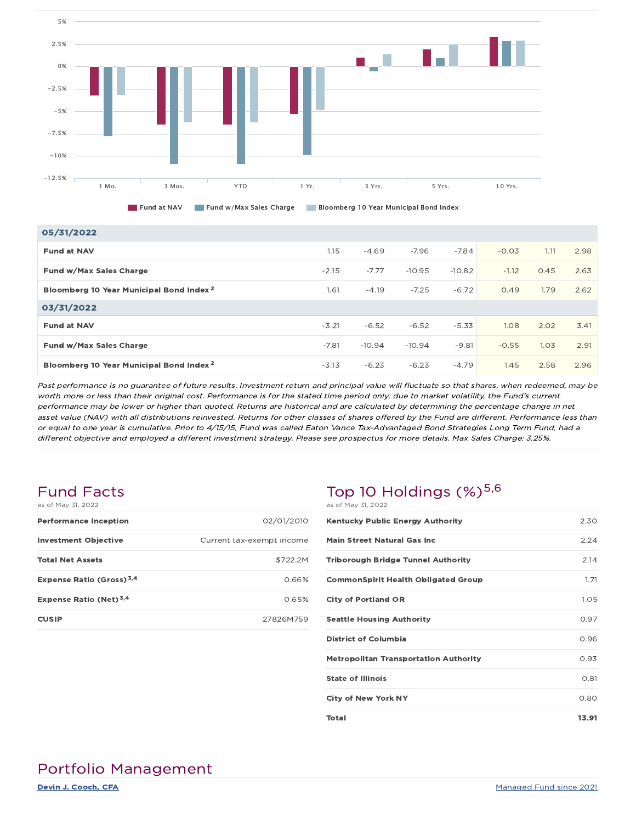



| 05/31/2022                                          |         |          |          |          |         |      |      |
|-----------------------------------------------------|---------|----------|----------|----------|---------|------|------|
| <b>Fund at NAV</b>                                  | 1.15    | $-4.69$  | $-7.96$  | $-7.84$  | $-0.03$ | 1.11 | 2.98 |
| Fund w/Max Sales Charge                             | $-2.15$ | $-7.77$  | $-10.95$ | $-10.82$ | $-1.12$ | 0.45 | 2.63 |
| Bloomberg 10 Year Municipal Bond Index <sup>2</sup> | 1.61    | $-4.19$  | $-7.25$  | $-6.72$  | 0.49    | 1.79 | 2.62 |
| 03/31/2022                                          |         |          |          |          |         |      |      |
| <b>Fund at NAV</b>                                  | $-3.21$ | $-6.52$  | $-6.52$  | $-5.33$  | 1.08    | 2.02 | 3.41 |
| Fund w/Max Sales Charge                             | $-7.81$ | $-10.94$ | $-10.94$ | $-9.81$  | $-0.55$ | 1.03 | 2.91 |
| Bloomberg 10 Year Municipal Bond Index <sup>2</sup> | $-3.13$ | $-6.23$  | $-6.23$  | $-4.79$  | 1.45    | 2.58 | 2.96 |

Past performance is no guarantee of future results. Investment return and principal value will fluctuate so that shares, when redeemed, may be worth more or less than their original cost. Performance is for the stated time period only; due to market volatility, the Fund's current performance may be lower or higher than quoted. Returns are historical and are calculated by determining the percentage change in net asset value (NAV) with all distributions reinvested. Returns for other classes of shares offered by the Fund are different. Performance less than or equal to one year is cumulative. Prior to 4/15/15, Fund was called Eaton Vance Tax-Advantaged Bond Strategies Long Term Fund, had <sup>a</sup> different objective and employed <sup>a</sup> different investment strategy. Please see prospectus for more details. Max Sales Charge: 3.25%.

#### Fund Facts as of May 31, 2022

| as UI May UI, ZUZZ                   |                           |
|--------------------------------------|---------------------------|
| <b>Performance Inception</b>         | 02/01/2010                |
| <b>Investment Objective</b>          | Current tax-exempt income |
| <b>Total Net Assets</b>              | \$722.2M                  |
| Expense Ratio (Gross) <sup>3,4</sup> | 0.66%                     |
| Expense Ratio (Net) <sup>3,4</sup>   | 0.65%                     |
| <b>CUSIP</b>                         | 27826M759                 |

### Top 10 Holdings  $(\%)^{5,6}$ as of May 31, 2022

| <b>Kentucky Public Energy Authority</b>      | 2.30  |
|----------------------------------------------|-------|
| <b>Main Street Natural Gas Inc.</b>          | 2.24  |
| <b>Triborough Bridge Tunnel Authority</b>    | 2.14  |
| <b>CommonSpirit Health Obligated Group</b>   | 1.71  |
| <b>City of Portland OR</b>                   | 1.05  |
| <b>Seattle Housing Authority</b>             | 0.97  |
| <b>District of Columbia</b>                  | 0.96  |
| <b>Metropolitan Transportation Authority</b> | 0.93  |
| <b>State of Illinois</b>                     | 0.81  |
| <b>City of New York NY</b>                   | 0.80  |
| Total                                        | 13.91 |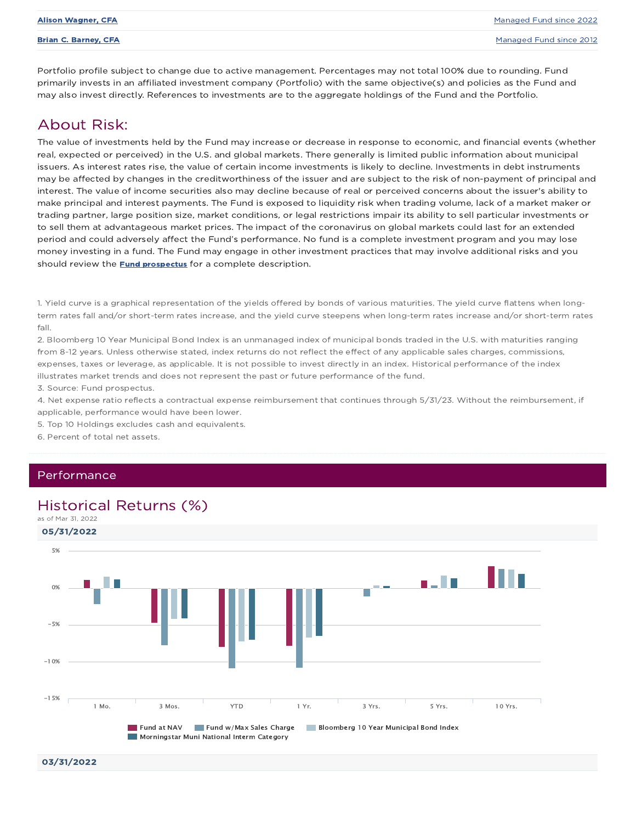|  | Alison Wagner. CFA |  |
|--|--------------------|--|
|--|--------------------|--|

Portfolio profile subject to change due to active management. Percentages may not total 100% due to rounding. Fund primarily invests in an affiliated investment company (Portfolio) with the same objective(s) and policies as the Fund and may also invest directly. References to investments are to the aggregate holdings of the Fund and the Portfolio.

### About Risk:

The value of investments held by the Fund may increase or decrease in response to economic, and financial events (whether real, expected or perceived) in the U.S. and global markets. There generally is limited public information about municipal issuers. As interest rates rise, the value of certain income investments is likely to decline. Investments in debt instruments may be affected by changes in the creditworthiness of the issuer and are subject to the risk of non-payment of principal and interest. The value of income securities also may decline because of real or perceived concerns about the issuer's ability to make principal and interest payments. The Fund is exposed to liquidity risk when trading volume, lack of a market maker or trading partner, large position size, market conditions, or legal restrictions impair its ability to sell particular investments or to sell them at advantageous market prices. The impact of the coronavirus on global markets could last for an extended period and could adversely affect the Fund's performance. No fund is a complete investment program and you may lose money investing in a fund. The Fund may engage in other investment practices that may involve additional risks and you should review the **Fund prospectus** for a complete description.

1. Yield curve is a graphical representation of the yields offered by bonds of various maturities. The yield curve flattens when longterm rates fall and/or short-term rates increase, and the yield curve steepens when long-term rates increase and/or short-term rates fall.

2. Bloomberg 10 Year Municipal Bond Index is an unmanaged index of municipal bonds traded in the U.S. with maturities ranging from 8-12 years. Unless otherwise stated, index returns do not reflect the effect of any applicable sales charges, commissions, expenses, taxes or leverage, as applicable. It is not possible to invest directly in an index. Historical performance of the index illustrates market trends and does not represent the past or future performance of the fund.

3. Source: Fund prospectus.

4. Net expense ratio reflects a contractual expense reimbursement that continues through 5/31/23. Without the reimbursement, if applicable, performance would have been lower.

5. Top 10 Holdings excludes cash and equivalents.

6. Percent of total net assets.

#### Performance

### Historical Returns (%)



03/31/2022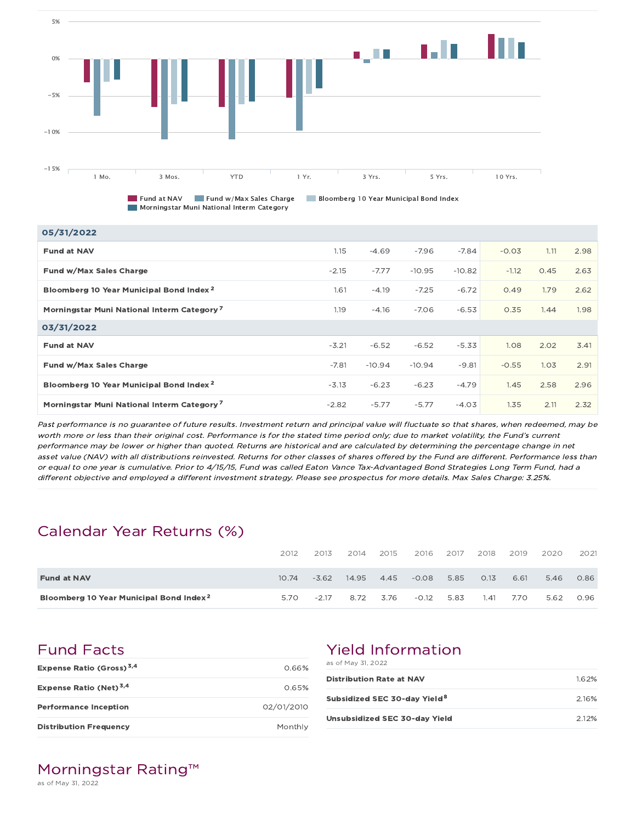

Morningstar Muni National Interm Category

Fund at NAV Fund w/Max Sales Charge Bloomberg 10 Year Municipal Bond Index

|  |  | orningstar Muni National Interm Category |
|--|--|------------------------------------------|
|  |  |                                          |

| 05/31/2022                                             |         |          |          |          |         |      |      |
|--------------------------------------------------------|---------|----------|----------|----------|---------|------|------|
| <b>Fund at NAV</b>                                     | 1.15    | $-4.69$  | $-7.96$  | $-7.84$  | $-0.03$ | 1.11 | 2.98 |
| Fund w/Max Sales Charge                                | $-2.15$ | $-7.77$  | $-10.95$ | $-10.82$ | $-1.12$ | 0.45 | 2.63 |
| Bloomberg 10 Year Municipal Bond Index <sup>2</sup>    | 1.61    | $-4.19$  | $-7.25$  | $-6.72$  | 0.49    | 1.79 | 2.62 |
| Morningstar Muni National Interm Category <sup>7</sup> | 1.19    | $-4.16$  | $-7.06$  | $-6.53$  | 0.35    | 1.44 | 1.98 |
| 03/31/2022                                             |         |          |          |          |         |      |      |
| <b>Fund at NAV</b>                                     | $-3.21$ | $-6.52$  | $-6.52$  | $-5.33$  | 1.08    | 2.02 | 3.41 |
| Fund w/Max Sales Charge                                | $-7.81$ | $-10.94$ | $-10.94$ | $-9.81$  | $-0.55$ | 1.03 | 2.91 |
| Bloomberg 10 Year Municipal Bond Index <sup>2</sup>    | $-3.13$ | $-6.23$  | $-6.23$  | $-4.79$  | 1.45    | 2.58 | 2.96 |
| Morningstar Muni National Interm Category <sup>7</sup> | $-2.82$ | $-5.77$  | $-5.77$  | $-4.03$  | 1.35    | 2.11 | 2.32 |

Past performance is no guarantee of future results. Investment return and principal value will fluctuate so that shares, when redeemed, may be worth more or less than their original cost. Performance is for the stated time period only; due to market volatility, the Fund's current performance may be lower or higher than quoted. Returns are historical and are calculated by determining the percentage change in net asset value (NAV) with all distributions reinvested. Returns for other classes of shares offered by the Fund are different. Performance less than or equal to one year is cumulative. Prior to 4/15/15, Fund was called Eaton Vance Tax-Advantaged Bond Strategies Long Term Fund, had <sup>a</sup> different objective and employed <sup>a</sup> different investment strategy. Please see prospectus for more details. Max Sales Charge: 3.25%.

## Calendar Year Returns (%)

|                                                     | 2012  | 2013    | 2014  | 2015 | 2016    | 2017 | 2018 | 2019 | 2020 | 2021 |
|-----------------------------------------------------|-------|---------|-------|------|---------|------|------|------|------|------|
| <b>Fund at NAV</b>                                  | 10.74 | $-3.62$ | 14.95 | 4.45 | $-0.08$ | 5.85 | 0.13 | 6.61 | 5.46 | 0.86 |
| Bloomberg 10 Year Municipal Bond Index <sup>2</sup> | 5.70  | $-2.17$ | 8.72  | 3.76 | $-0.12$ | 5.83 | 1.41 | 7.70 | 5.62 | 0.96 |

Fund Facts

| Expense Ratio (Gross) <sup>3,4</sup> | 0.66%      |
|--------------------------------------|------------|
| Expense Ratio (Net) <sup>3,4</sup>   | 0.65%      |
| <b>Performance Inception</b>         | 02/01/2010 |
| <b>Distribution Frequency</b>        | Monthly    |

## Yield Information

as of May 31, 2022

| <b>Distribution Rate at NAV</b>          | 1.62% |
|------------------------------------------|-------|
| Subsidized SEC 30-day Yield <sup>8</sup> | 216%  |
| Unsubsidized SEC 30-day Yield            | 2.12% |

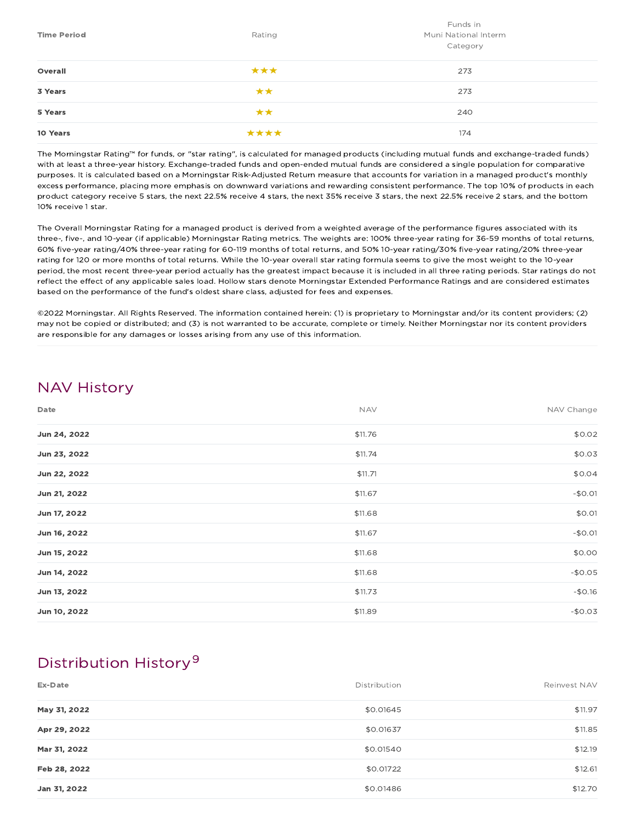| <b>Time Period</b> | Rating | Funds in<br>Muni National Interm<br>Category |
|--------------------|--------|----------------------------------------------|
| Overall            | ***    | 273                                          |
| 3 Years            | **     | 273                                          |
| 5 Years            | **     | 240                                          |
| 10 Years           | ****   | 174                                          |

The Morningstar Rating™ for funds, or "star rating", is calculated for managed products (including mutual funds and exchange-traded funds) with at least a three-year history. Exchange-traded funds and open-ended mutual funds are considered a single population for comparative purposes. It is calculated based on a Morningstar Risk-Adjusted Return measure that accounts for variation in a managed product's monthly excess performance, placing more emphasis on downward variations and rewarding consistent performance. The top 10% of products in each product category receive 5 stars, the next 22.5% receive 4 stars, the next 35% receive 3 stars, the next 22.5% receive 2 stars, and the bottom 10% receive 1 star.

The Overall Morningstar Rating for a managed product is derived from a weighted average of the performance figures associated with its three-, five-, and 10-year (if applicable) Morningstar Rating metrics. The weights are: 100% three-year rating for 36-59 months of total returns, 60% five-year rating/40% three-year rating for 60-119 months of total returns, and 50% 10-year rating/30% five-year rating/20% three-year rating for 120 or more months of total returns. While the 10-year overall star rating formula seems to give the most weight to the 10-year period, the most recent three-year period actually has the greatest impact because it is included in all three rating periods. Star ratings do not reflect the effect of any applicable sales load. Hollow stars denote Morningstar Extended Performance Ratings and are considered estimates based on the performance of the fund's oldest share class, adjusted for fees and expenses.

©2022 Morningstar. All Rights Reserved. The information contained herein: (1) is proprietary to Morningstar and/or its content providers; (2) may not be copied or distributed; and (3) is not warranted to be accurate, complete or timely. Neither Morningstar nor its content providers are responsible for any damages or losses arising from any use of this information.

## NAV History

| Date         | <b>NAV</b> | NAV Change |
|--------------|------------|------------|
| Jun 24, 2022 | \$11.76    | \$0.02     |
| Jun 23, 2022 | \$11.74    | \$0.03     |
| Jun 22, 2022 | \$11.71    | \$0.04     |
| Jun 21, 2022 | \$11.67    | $-$0.01$   |
| Jun 17, 2022 | \$11.68    | \$0.01     |
| Jun 16, 2022 | \$11.67    | $-$0.01$   |
| Jun 15, 2022 | \$11.68    | \$0.00     |
| Jun 14, 2022 | \$11.68    | $-$0.05$   |
| Jun 13, 2022 | \$11.73    | $-$0.16$   |
| Jun 10, 2022 | \$11.89    | $-$0.03$   |

## Distribution History 9

| Ex-Date      | Distribution | Reinvest NAV |
|--------------|--------------|--------------|
| May 31, 2022 | \$0.01645    | \$11.97      |
| Apr 29, 2022 | \$0.01637    | \$11.85      |
| Mar 31, 2022 | \$0.01540    | \$12.19      |
| Feb 28, 2022 | \$0.01722    | \$12.61      |
| Jan 31, 2022 | \$0.01486    | \$12.70      |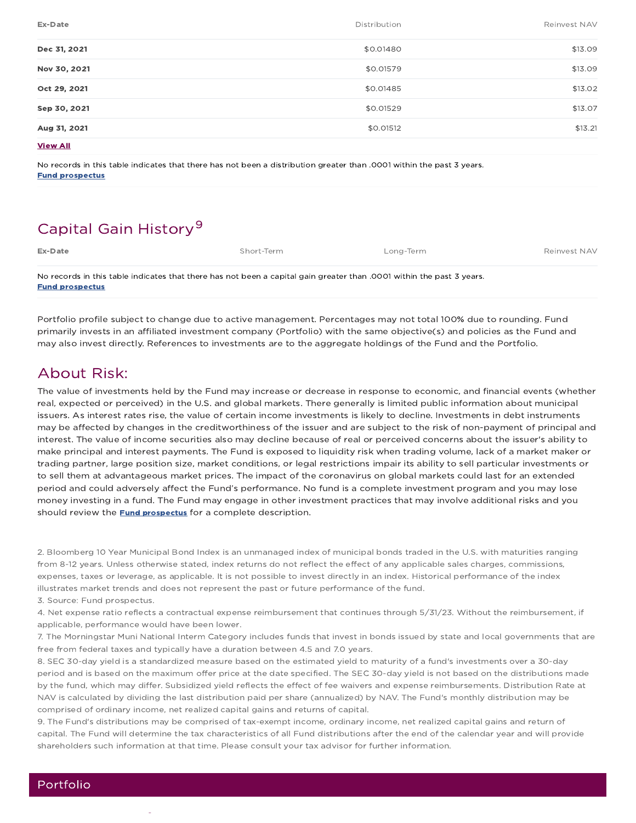| Ex-Date         | Distribution | Reinvest NAV |
|-----------------|--------------|--------------|
| Dec 31, 2021    | \$0.01480    | \$13.09      |
| Nov 30, 2021    | \$0.01579    | \$13.09      |
| Oct 29, 2021    | \$0.01485    | \$13.02      |
| Sep 30, 2021    | \$0.01529    | \$13.07      |
| Aug 31, 2021    | \$0.01512    | \$13.21      |
| <b>View All</b> |              |              |

No records in this table indicates that there has not been a distribution greater than .0001 within the past 3 years. Fund prospectus

## Capital Gain History<sup>9</sup>

| Ex-Date                                                                                                               | Short-Term | Long-Term | Reinvest NAV |
|-----------------------------------------------------------------------------------------------------------------------|------------|-----------|--------------|
| No records in this table indicates that there has not been a capital gain greater than .0001 within the past 3 years. |            |           |              |
| <b>Fund prospectus</b>                                                                                                |            |           |              |

Portfolio profile subject to change due to active management. Percentages may not total 100% due to rounding. Fund primarily invests in an affiliated investment company (Portfolio) with the same objective(s) and policies as the Fund and may also invest directly. References to investments are to the aggregate holdings of the Fund and the Portfolio.

## About Risk:

The value of investments held by the Fund may increase or decrease in response to economic, and financial events (whether real, expected or perceived) in the U.S. and global markets. There generally is limited public information about municipal issuers. As interest rates rise, the value of certain income investments is likely to decline. Investments in debt instruments may be affected by changes in the creditworthiness of the issuer and are subject to the risk of non-payment of principal and interest. The value of income securities also may decline because of real or perceived concerns about the issuer's ability to make principal and interest payments. The Fund is exposed to liquidity risk when trading volume, lack of a market maker or trading partner, large position size, market conditions, or legal restrictions impair its ability to sell particular investments or to sell them at advantageous market prices. The impact of the coronavirus on global markets could last for an extended period and could adversely affect the Fund's performance. No fund is a complete investment program and you may lose money investing in a fund. The Fund may engage in other investment practices that may involve additional risks and you should review the **Fund prospectus** for a complete description.

2. Bloomberg 10 Year Municipal Bond Index is an unmanaged index of municipal bonds traded in the U.S. with maturities ranging from 8-12 years. Unless otherwise stated, index returns do not reflect the effect of any applicable sales charges, commissions, expenses, taxes or leverage, as applicable. It is not possible to invest directly in an index. Historical performance of the index illustrates market trends and does not represent the past or future performance of the fund.

3. Source: Fund prospectus.

4. Net expense ratio reflects a contractual expense reimbursement that continues through 5/31/23. Without the reimbursement, if applicable, performance would have been lower.

7. The Morningstar Muni National Interm Category includes funds that invest in bonds issued by state and local governments that are free from federal taxes and typically have a duration between 4.5 and 7.0 years.

8. SEC 30-day yield is a standardized measure based on the estimated yield to maturity of a fund's investments over a 30-day period and is based on the maximum offer price at the date specified. The SEC 30-day yield is not based on the distributions made by the fund, which may differ. Subsidized yield reflects the effect of fee waivers and expense reimbursements. Distribution Rate at NAV is calculated by dividing the last distribution paid per share (annualized) by NAV. The Fund's monthly distribution may be comprised of ordinary income, net realized capital gains and returns of capital.

9. The Fund's distributions may be comprised of tax-exempt income, ordinary income, net realized capital gains and return of capital. The Fund will determine the tax characteristics of all Fund distributions after the end of the calendar year and will provide shareholders such information at that time. Please consult your tax advisor for further information.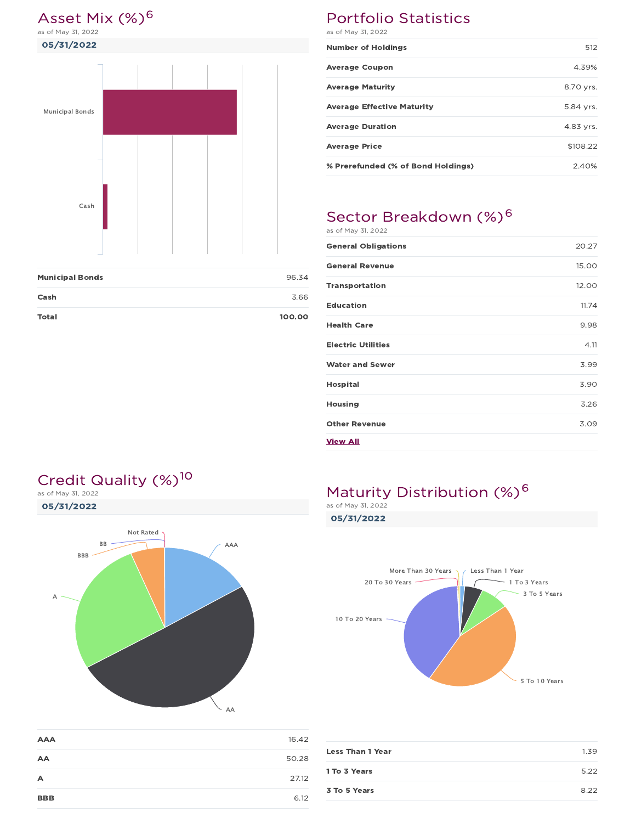# Asset Mix (%)<sup>6</sup><br>as of May 31, 2022

05/31/2022



| <b>Municipal Bonds</b> | 96.34  |
|------------------------|--------|
| Cash                   | 3.66   |
| <b>Total</b>           | 100.00 |

### Portfolio Statistics as of May 31, 2022

| <b>Number of Holdings</b>          | 512       |
|------------------------------------|-----------|
| <b>Average Coupon</b>              | 4.39%     |
| <b>Average Maturity</b>            | 8.70 yrs. |
| <b>Average Effective Maturity</b>  | 5.84 yrs. |
| <b>Average Duration</b>            | 4.83 yrs. |
| <b>Average Price</b>               | \$108.22  |
| % Prerefunded (% of Bond Holdings) | 2.40%     |

## Sector Breakdown (%)<sup>6</sup>

| as of May 31, 2022         |       |
|----------------------------|-------|
| <b>General Obligations</b> | 20.27 |
| <b>General Revenue</b>     | 15.00 |
| <b>Transportation</b>      | 12.00 |
| <b>Education</b>           | 11.74 |
| <b>Health Care</b>         | 9.98  |
| <b>Electric Utilities</b>  | 4.11  |
| <b>Water and Sewer</b>     | 3.99  |
| <b>Hospital</b>            | 3.90  |
| Housing                    | 3.26  |
| <b>Other Revenue</b>       | 3.09  |
| View All                   |       |

## Credit Quality (%)<sup>10</sup>

05/31/2022 as of May 31, 2022



| <b>AAA</b>     | 16.42 |
|----------------|-------|
| AA             | 50.28 |
| $\overline{A}$ | 27.12 |
| <b>BBB</b>     | 6.12  |

## Maturity Distribution (%)<sup>6</sup>

as of May 31, 2022

05/31/2022



| <b>Less Than 1 Year</b> | 1.39 |
|-------------------------|------|
| 1 To 3 Years            | 5.22 |
| 3 To 5 Years            | 8.22 |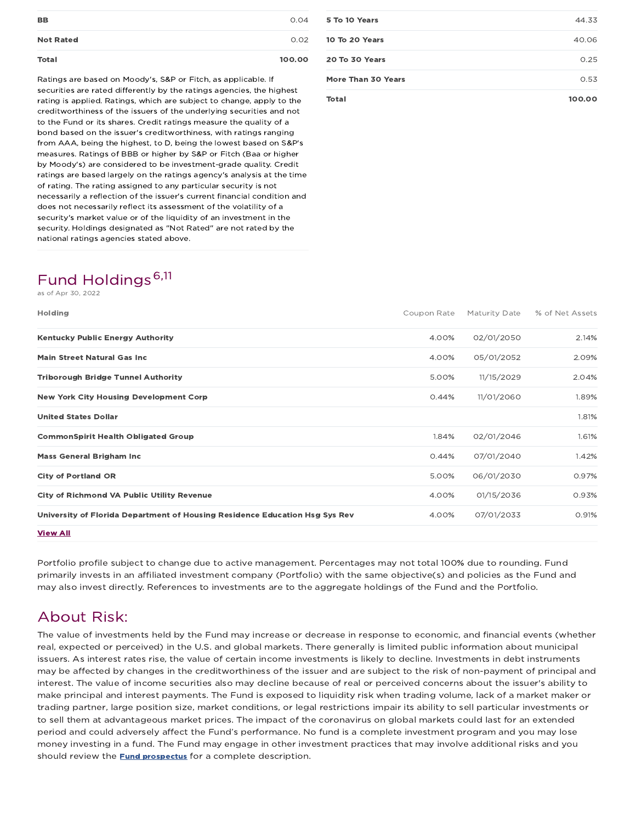| <b>Not Rated</b> | <b>Total</b> | 100.00 |
|------------------|--------------|--------|
|                  |              | 0.02   |
| <b>BB</b>        |              | 0.04   |

Ratings are based on Moody's, S&P or Fitch, as applicable. If securities are rated differently by the ratings agencies, the highest rating is applied. Ratings, which are subject to change, apply to the creditworthiness of the issuers of the underlying securities and not to the Fund or its shares. Credit ratings measure the quality of a bond based on the issuer's creditworthiness, with ratings ranging from AAA, being the highest, to D, being the lowest based on S&P's measures. Ratings of BBB or higher by S&P or Fitch (Baa or higher by Moody's) are considered to be investment-grade quality. Credit ratings are based largely on the ratings agency's analysis at the time of rating. The rating assigned to any particular security is not necessarily a reflection of the issuer's current financial condition and does not necessarily reflect its assessment of the volatility of a security's market value or of the liquidity of an investment in the security. Holdings designated as "Not Rated" are not rated by the national ratings agencies stated above.

## Fund Holdings 6,11

as of Apr 30, 2022

| Holding                                                                     | Coupon Rate | Maturity Date | % of Net Assets |
|-----------------------------------------------------------------------------|-------------|---------------|-----------------|
| <b>Kentucky Public Energy Authority</b>                                     | 4.00%       | 02/01/2050    | 2.14%           |
| <b>Main Street Natural Gas Inc.</b>                                         | 4.00%       | 05/01/2052    | 2.09%           |
| <b>Triborough Bridge Tunnel Authority</b>                                   | 5.00%       | 11/15/2029    | 2.04%           |
| <b>New York City Housing Development Corp</b>                               | 0.44%       | 11/01/2060    | 1.89%           |
| <b>United States Dollar</b>                                                 |             |               | 1.81%           |
| <b>CommonSpirit Health Obligated Group</b>                                  | 1.84%       | 02/01/2046    | 1.61%           |
| <b>Mass General Brigham Inc.</b>                                            | 0.44%       | 07/01/2040    | 1.42%           |
| <b>City of Portland OR</b>                                                  | 5.00%       | 06/01/2030    | 0.97%           |
| <b>City of Richmond VA Public Utility Revenue</b>                           | 4.00%       | 01/15/2036    | 0.93%           |
| University of Florida Department of Housing Residence Education Hsg Sys Rev | 4.00%       | 07/01/2033    | 0.91%           |
| <b>View All</b>                                                             |             |               |                 |

Portfolio profile subject to change due to active management. Percentages may not total 100% due to rounding. Fund primarily invests in an affiliated investment company (Portfolio) with the same objective(s) and policies as the Fund and may also invest directly. References to investments are to the aggregate holdings of the Fund and the Portfolio.

## About Risk:

The value of investments held by the Fund may increase or decrease in response to economic, and financial events (whether real, expected or perceived) in the U.S. and global markets. There generally is limited public information about municipal issuers. As interest rates rise, the value of certain income investments is likely to decline. Investments in debt instruments may be affected by changes in the creditworthiness of the issuer and are subject to the risk of non-payment of principal and interest. The value of income securities also may decline because of real or perceived concerns about the issuer's ability to make principal and interest payments. The Fund is exposed to liquidity risk when trading volume, lack of a market maker or trading partner, large position size, market conditions, or legal restrictions impair its ability to sell particular investments or to sell them at advantageous market prices. The impact of the coronavirus on global markets could last for an extended period and could adversely affect the Fund's performance. No fund is a complete investment program and you may lose money investing in a fund. The Fund may engage in other investment practices that may involve additional risks and you should review the **Fund prospectus** for a complete description.

| Total              | 100.00 |
|--------------------|--------|
| More Than 30 Years | 0.53   |
| 20 To 30 Years     | 0.25   |
| 10 To 20 Years     | 40.06  |
| 5 To 10 Years      | 44.33  |
|                    |        |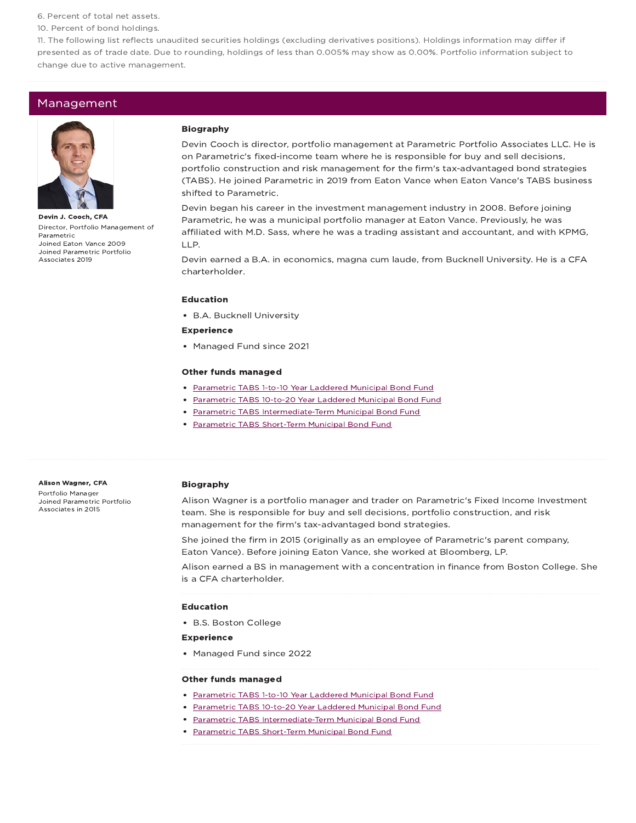6. Percent of total net assets.

10. Percent of bond holdings.

11. The following list reflects unaudited securities holdings (excluding derivatives positions). Holdings information may differ if presented as of trade date. Due to rounding, holdings of less than 0.005% may show as 0.00%. Portfolio information subject to change due to active management.

#### Management



Devin J. Cooch, CFA Director, Portfolio Management of Parametric Joined Eaton Vance 2009 Joined Parametric Portfolio Associates 2019

#### Biography

Devin Cooch is director, portfolio management at Parametric Portfolio Associates LLC. He is on Parametric's fixed-income team where he is responsible for buy and sell decisions, portfolio construction and risk management for the firm's tax-advantaged bond strategies (TABS). He joined Parametric in 2019 from Eaton Vance when Eaton Vance's TABS business shifted to Parametric.

Devin began his career in the investment management industry in 2008. Before joining Parametric, he was a municipal portfolio manager at Eaton Vance. Previously, he was affiliated with M.D. Sass, where he was a trading assistant and accountant, and with KPMG, LLP.

Devin earned a B.A. in economics, magna cum laude, from Bucknell University. He is a CFA charterholder.

#### Education

B.A. Bucknell University

#### Experience

• Managed Fund since 2021

#### Other funds managed

- Parametric TABS 1-to-10 Year Laddered Municipal Bond Fund
- Parametric TABS 10-to-20 Year Laddered Municipal Bond Fund
- Parametric TABS Intermediate-Term Municipal Bond Fund
- Parametric TABS Short-Term Municipal Bond Fund

#### Alison Wagner, CFA

Portfolio Manager Joined Parametric Portfolio Associates in 2015

#### Biography

Alison Wagner is a portfolio manager and trader on Parametric's Fixed Income Investment team. She is responsible for buy and sell decisions, portfolio construction, and risk management for the firm's tax-advantaged bond strategies.

She joined the firm in 2015 (originally as an employee of Parametric's parent company, Eaton Vance). Before joining Eaton Vance, she worked at Bloomberg, LP.

Alison earned a BS in management with a concentration in finance from Boston College. She is a CFA charterholder.

#### Education

B.S. Boston College

#### Experience

• Managed Fund since 2022

#### Other funds managed

- Parametric TABS 1-to-10 Year Laddered Municipal Bond Fund
- Parametric TABS 10-to-20 Year Laddered Municipal Bond Fund
- Parametric TABS Intermediate-Term Municipal Bond Fund
- Parametric TABS Short-Term Municipal Bond Fund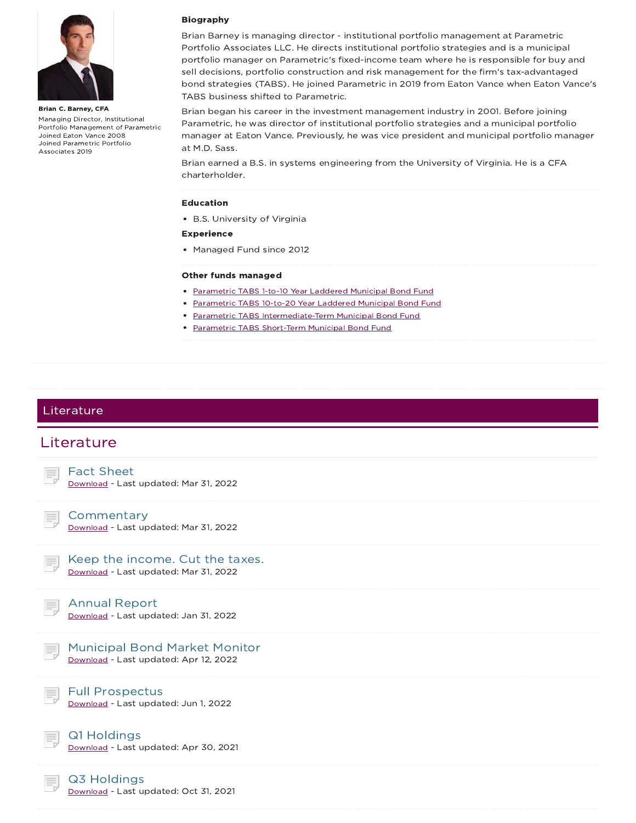

Brian C. Barney, CFA Managing Director, Institutional Portfolio Management of Parametric Joined Eaton Vance 2008 Joined Parametric Portfolio Associates 2019

#### Biography

Brian Barney is managing director - institutional portfolio management at Parametric Portfolio Associates LLC. He directs institutional portfolio strategies and is a municipal portfolio manager on Parametric's fixed-income team where he is responsible for buy and sell decisions, portfolio construction and risk management for the firm's tax-advantaged bond strategies (TABS). He joined Parametric in 2019 from Eaton Vance when Eaton Vance's TABS business shifted to Parametric.

Brian began his career in the investment management industry in 2001. Before joining Parametric, he was director of institutional portfolio strategies and a municipal portfolio manager at Eaton Vance. Previously, he was vice president and municipal portfolio manager at M.D. Sass.

Brian earned a B.S. in systems engineering from the University of Virginia. He is a CFA charterholder.

#### Education

B.S. University of Virginia

#### Experience

• Managed Fund since 2012

#### Other funds managed

- Parametric TABS 1-to-10 Year Laddered Municipal Bond Fund
- Parametric TABS 10-to-20 Year Laddered Municipal Bond Fund
- Parametric TABS Intermediate-Term Municipal Bond Fund
- Parametric TABS Short-Term Municipal Bond Fund

### Literature

### Literature



Download - Last updated: Mar 31, 2022

**Commentary** Download - Last updated: Mar 31, 2022



#### Annual Report

Download - Last updated: Jan 31, 2022

## Municipal Bond Market Monitor

Download - Last updated: Apr 12, 2022

### Full Prospectus

Download - Last updated: Jun 1, 2022



Q1 Holdings Download - Last updated: Apr 30, 2021

#### Q3 Holdings

Download - Last updated: Oct 31, 2021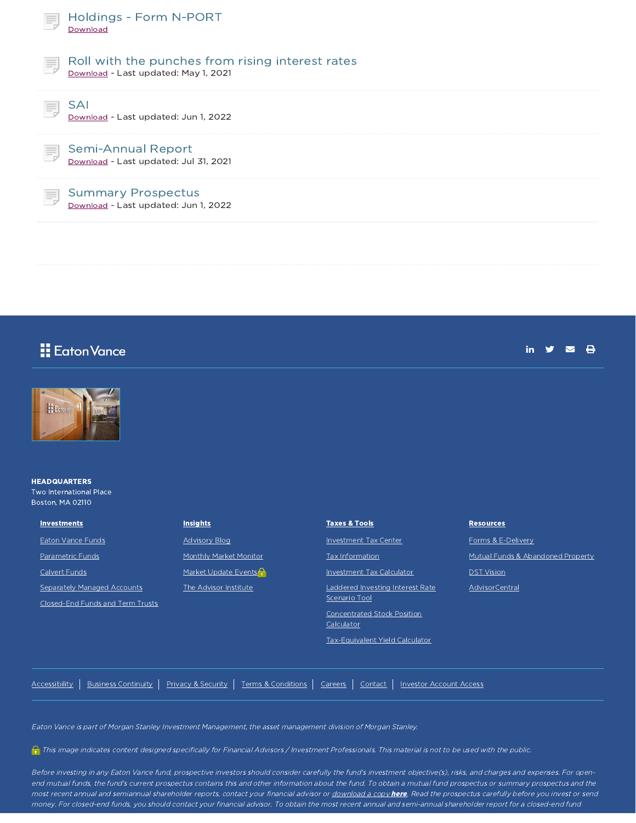| ₹  | Holdings - Form N-PORT<br>Download                                                       |
|----|------------------------------------------------------------------------------------------|
| 巪  | Roll with the punches from rising interest rates<br>Download - Last updated: May 1, 2021 |
| 巪  | SAI<br>Download - Last updated: Jun 1, 2022                                              |
| Ħ. | <b>Semi-Annual Report</b><br>Download - Last updated: Jul 31, 2021                       |
| Ħ, | <b>Summary Prospectus</b><br>Download - Last updated: Jun 1, 2022                        |
|    |                                                                                          |

## **E** Eaton Vance

| ПΤ |  |  |
|----|--|--|
|    |  |  |



#### **HEADQUARTERS** Two International Place Boston, MA 02110

| <b>Investments</b> |
|--------------------|
| Eaton Vance Funds  |

Parametric Funds

Calvert Funds

Separately Managed Accounts

Closed-End Funds and Term Trusts

| <b>Insights</b> |
|-----------------|
|-----------------|

Advisory Blog

Monthly Market Monitor

Market Update Events<sup>2</sup>

The Advisor Institute

Taxes & Tools Investment Tax Center Tax Information Investment Tax Calculator Laddered Investing Interest Rate Scenario Tool Concentrated Stock Position Calculator Tax-Equivalent Yield Calculator

#### **Resources**

Forms & E-Delivery

Mutual Funds & Abandoned Property

**DST** Vision

AdvisorCentral

Accessibility | Business Continuity | Privacy & Security | Terms & Conditions | Careers | Contact | Investor Account Access

Eaton Vance is part of Morgan Stanley Investment Management, the asset management division of Morgan Stanley.

This image indicates content designed specifically for Financial Advisors / Investment Professionals. This material is not to be used with the public.

Before investing in any Eaton Vance fund, prospective investors should consider carefully the fund's investment objective(s), risks, and charges and expenses. For openend mutual funds, the fund's current prospectus contains this and other information about the fund. To obtain <sup>a</sup> mutual fund prospectus or summary prospectus and the most recent annual and semiannual shareholder reports, contact your financial advisor or download a copy here. Read the prospectus carefully before you invest or send money. For closed-end funds, you should contact your financial advisor. To obtain the most recent annual and semi-annual shareholder report for <sup>a</sup> closed-end fund